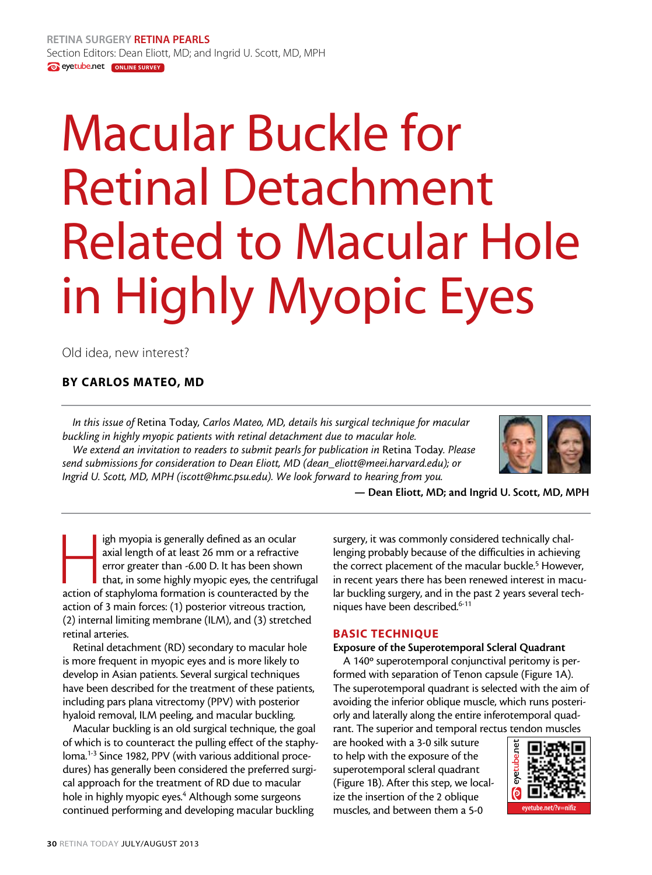# Macular Buckle for Retinal Detachment Related to Macular Hole in Highly Myopic Eyes

Old idea, new interest?

# By Carlos Mateo, MD

*In this issue of* Retina Today*, Carlos Mateo, MD, details his surgical technique for macular buckling in highly myopic patients with retinal detachment due to macular hole. We extend an invitation to readers to submit pearls for publication in* Retina Today*. Please send submissions for consideration to Dean Eliott, MD (dean\_eliott@meei.harvard.edu); or Ingrid U. Scott, MD, MPH (iscott@hmc.psu.edu). We look forward to hearing from you.*



— Dean Eliott, MD; and Ingrid U. Scott, MD, MPH

igh myopia is generally defined as an ocular axial length of at least 26 mm or a refractive error greater than -6.00 D. It has been shown that, in some highly myopic eyes, the centrifug action of staphyloma formation is co axial length of at least 26 mm or a refractive error greater than -6.00 D. It has been shown that, in some highly myopic eyes, the centrifugal action of 3 main forces: (1) posterior vitreous traction, (2) internal limiting membrane (ILM), and (3) stretched retinal arteries.

Retinal detachment (RD) secondary to macular hole is more frequent in myopic eyes and is more likely to develop in Asian patients. Several surgical techniques have been described for the treatment of these patients, including pars plana vitrectomy (PPV) with posterior hyaloid removal, ILM peeling, and macular buckling.

Macular buckling is an old surgical technique, the goal of which is to counteract the pulling effect of the staphyloma.1-3 Since 1982, PPV (with various additional procedures) has generally been considered the preferred surgical approach for the treatment of RD due to macular hole in highly myopic eyes.<sup>4</sup> Although some surgeons continued performing and developing macular buckling

surgery, it was commonly considered technically challenging probably because of the difficulties in achieving the correct placement of the macular buckle.<sup>5</sup> However, in recent years there has been renewed interest in macular buckling surgery, and in the past 2 years several techniques have been described.<sup>6-11</sup>

# BASIC TECHNIQUE

# Exposure of the Superotemporal Scleral Quadrant

A 140º superotemporal conjunctival peritomy is performed with separation of Tenon capsule (Figure 1A). The superotemporal quadrant is selected with the aim of avoiding the inferior oblique muscle, which runs posteriorly and laterally along the entire inferotemporal quadrant. The superior and temporal rectus tendon muscles

are hooked with a 3-0 silk suture to help with the exposure of the superotemporal scleral quadrant (Figure 1B). After this step, we localize the insertion of the 2 oblique muscles, and between them a 5-0

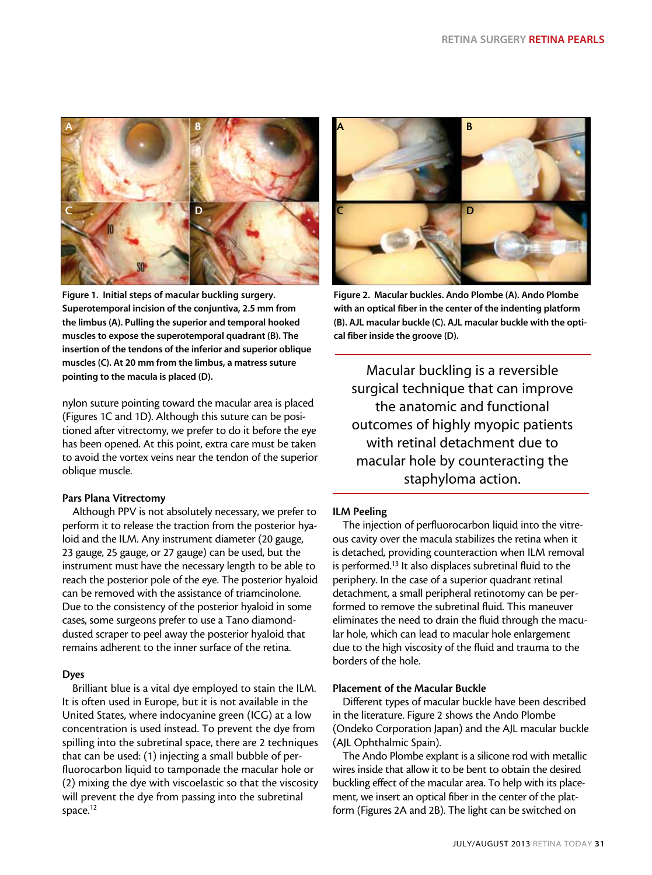

Figure 1. Initial steps of macular buckling surgery. Superotemporal incision of the conjuntiva, 2.5 mm from the limbus (A). Pulling the superior and temporal hooked muscles to expose the superotemporal quadrant (B). The insertion of the tendons of the inferior and superior oblique muscles (C). At 20 mm from the limbus, a matress suture pointing to the macula is placed (D).

nylon suture pointing toward the macular area is placed (Figures 1C and 1D). Although this suture can be positioned after vitrectomy, we prefer to do it before the eye has been opened. At this point, extra care must be taken to avoid the vortex veins near the tendon of the superior oblique muscle.

# Pars Plana Vitrectomy

Although PPV is not absolutely necessary, we prefer to perform it to release the traction from the posterior hyaloid and the ILM. Any instrument diameter (20 gauge, 23 gauge, 25 gauge, or 27 gauge) can be used, but the instrument must have the necessary length to be able to reach the posterior pole of the eye. The posterior hyaloid can be removed with the assistance of triamcinolone. Due to the consistency of the posterior hyaloid in some cases, some surgeons prefer to use a Tano diamonddusted scraper to peel away the posterior hyaloid that remains adherent to the inner surface of the retina.

# Dyes

Brilliant blue is a vital dye employed to stain the ILM. It is often used in Europe, but it is not available in the United States, where indocyanine green (ICG) at a low concentration is used instead. To prevent the dye from spilling into the subretinal space, there are 2 techniques that can be used: (1) injecting a small bubble of perfluorocarbon liquid to tamponade the macular hole or (2) mixing the dye with viscoelastic so that the viscosity will prevent the dye from passing into the subretinal space.<sup>12</sup>



Figure 2. Macular buckles. Ando Plombe (A). Ando Plombe with an optical fiber in the center of the indenting platform (B). AJL macular buckle (C). AJL macular buckle with the optical fiber inside the groove (D).

Macular buckling is a reversible surgical technique that can improve the anatomic and functional outcomes of highly myopic patients with retinal detachment due to macular hole by counteracting the staphyloma action.

# ILM Peeling

The injection of perfluorocarbon liquid into the vitreous cavity over the macula stabilizes the retina when it is detached, providing counteraction when ILM removal is performed.<sup>13</sup> It also displaces subretinal fluid to the periphery. In the case of a superior quadrant retinal detachment, a small peripheral retinotomy can be performed to remove the subretinal fluid. This maneuver eliminates the need to drain the fluid through the macular hole, which can lead to macular hole enlargement due to the high viscosity of the fluid and trauma to the borders of the hole.

# Placement of the Macular Buckle

Different types of macular buckle have been described in the literature. Figure 2 shows the Ando Plombe (Ondeko Corporation Japan) and the AJL macular buckle (AJL Ophthalmic Spain).

The Ando Plombe explant is a silicone rod with metallic wires inside that allow it to be bent to obtain the desired buckling effect of the macular area. To help with its placement, we insert an optical fiber in the center of the platform (Figures 2A and 2B). The light can be switched on